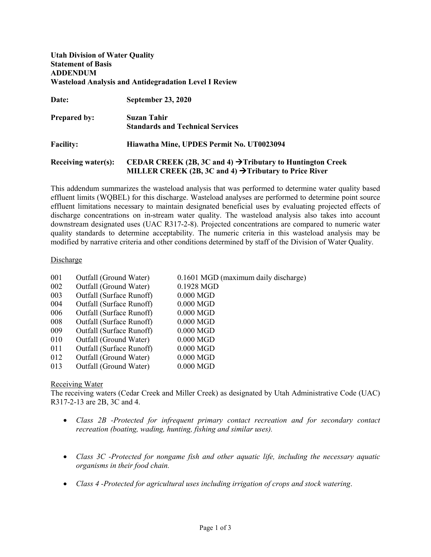### **Utah Division of Water Quality Statement of Basis ADDENDUM Wasteload Analysis and Antidegradation Level I Review**

| Date:               | <b>September 23, 2020</b>                                                                                                                    |
|---------------------|----------------------------------------------------------------------------------------------------------------------------------------------|
| <b>Prepared by:</b> | <b>Suzan Tahir</b>                                                                                                                           |
|                     | <b>Standards and Technical Services</b>                                                                                                      |
| <b>Facility:</b>    | Hiawatha Mine, UPDES Permit No. UT0023094                                                                                                    |
| Receiving water(s): | CEDAR CREEK (2B, 3C and 4) $\rightarrow$ Tributary to Huntington Creek<br>MILLER CREEK (2B, 3C and 4) $\rightarrow$ Tributary to Price River |

This addendum summarizes the wasteload analysis that was performed to determine water quality based effluent limits (WQBEL) for this discharge. Wasteload analyses are performed to determine point source effluent limitations necessary to maintain designated beneficial uses by evaluating projected effects of discharge concentrations on in-stream water quality. The wasteload analysis also takes into account downstream designated uses (UAC R317-2-8). Projected concentrations are compared to numeric water quality standards to determine acceptability. The numeric criteria in this wasteload analysis may be modified by narrative criteria and other conditions determined by staff of the Division of Water Quality.

#### Discharge

| 001 | Outfall (Ground Water)   | 0.1601 MGD (maximum daily discharge) |
|-----|--------------------------|--------------------------------------|
| 002 | Outfall (Ground Water)   | 0.1928 MGD                           |
| 003 | Outfall (Surface Runoff) | $0.000$ MGD                          |
| 004 | Outfall (Surface Runoff) | $0.000$ MGD                          |
| 006 | Outfall (Surface Runoff) | $0.000$ MGD                          |
| 008 | Outfall (Surface Runoff) | $0.000$ MGD                          |
| 009 | Outfall (Surface Runoff) | $0.000$ MGD                          |
| 010 | Outfall (Ground Water)   | $0.000$ MGD                          |
| 011 | Outfall (Surface Runoff) | $0.000$ MGD                          |
| 012 | Outfall (Ground Water)   | $0.000$ MGD                          |
| 013 | Outfall (Ground Water)   | $0.000$ MGD                          |

## Receiving Water

The receiving waters (Cedar Creek and Miller Creek) as designated by Utah Administrative Code (UAC) R317-2-13 are 2B, 3C and 4.

- *Class 2B -Protected for infrequent primary contact recreation and for secondary contact recreation (boating, wading, hunting, fishing and similar uses).*
- *Class 3C -Protected for nongame fish and other aquatic life, including the necessary aquatic organisms in their food chain.*
- *Class 4 -Protected for agricultural uses including irrigation of crops and stock watering*.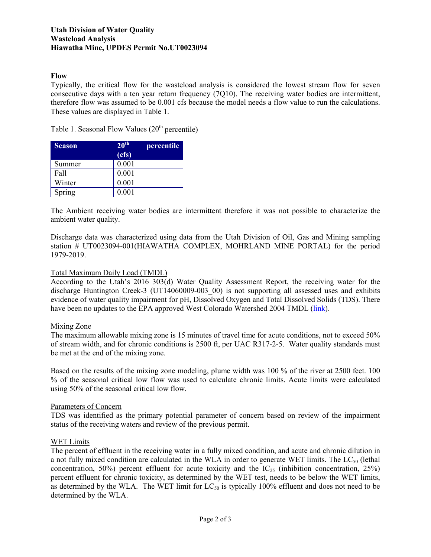# **Flow**

Typically, the critical flow for the wasteload analysis is considered the lowest stream flow for seven consecutive days with a ten year return frequency (7Q10). The receiving water bodies are intermittent, therefore flow was assumed to be 0.001 cfs because the model needs a flow value to run the calculations. These values are displayed in [Table 1.](#page-1-0)

<span id="page-1-0"></span>Table 1. Seasonal Flow Values  $(20<sup>th</sup>$  percentile)

| <b>Season</b> | 20 <sup>th</sup><br>(cfs) | percentile |
|---------------|---------------------------|------------|
| Summer        | 0.001                     |            |
| Fall          | 0.001                     |            |
| Winter        | 0.001                     |            |
| Spring        | 0.001                     |            |

The Ambient receiving water bodies are intermittent therefore it was not possible to characterize the ambient water quality.

Discharge data was characterized using data from the Utah Division of Oil, Gas and Mining sampling station # UT0023094-001(HIAWATHA COMPLEX, MOHRLAND MINE PORTAL) for the period 1979-2019.

### Total Maximum Daily Load (TMDL)

According to the Utah's 2016 303(d) Water Quality Assessment Report, the receiving water for the discharge Huntington Creek-3 (UT14060009-003 00) is not supporting all assessed uses and exhibits evidence of water quality impairment for pH, Dissolved Oxygen and Total Dissolved Solids (TDS). There have been no updates to the EPA approved West Colorado Watershed 2004 TMDL [\(link\)](https://documents.deq.utah.gov/water-quality/watershed-protection/total-maximum-daily-loads/DWQ-2015-006611.pdf).

#### Mixing Zone

The maximum allowable mixing zone is 15 minutes of travel time for acute conditions, not to exceed 50% of stream width, and for chronic conditions is 2500 ft, per UAC R317-2-5. Water quality standards must be met at the end of the mixing zone.

Based on the results of the mixing zone modeling, plume width was 100 % of the river at 2500 feet. 100 % of the seasonal critical low flow was used to calculate chronic limits. Acute limits were calculated using 50% of the seasonal critical low flow.

### Parameters of Concern

TDS was identified as the primary potential parameter of concern based on review of the impairment status of the receiving waters and review of the previous permit.

### WET Limits

The percent of effluent in the receiving water in a fully mixed condition, and acute and chronic dilution in a not fully mixed condition are calculated in the WLA in order to generate WET limits. The  $LC_{50}$  (lethal concentration, 50%) percent effluent for acute toxicity and the  $IC_{25}$  (inhibition concentration, 25%) percent effluent for chronic toxicity, as determined by the WET test, needs to be below the WET limits, as determined by the WLA. The WET limit for  $LC_{50}$  is typically 100% effluent and does not need to be determined by the WLA.